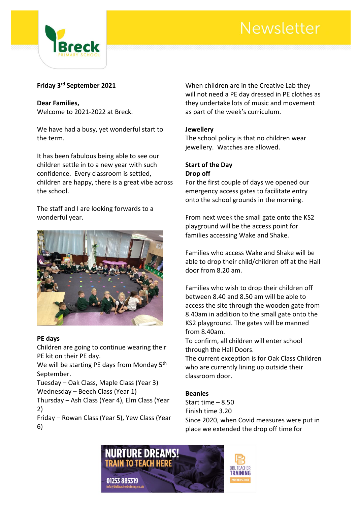## Newsletter



## **Friday 3rd September 2021**

**Dear Families,** Welcome to 2021-2022 at Breck.

We have had a busy, yet wonderful start to the term.

It has been fabulous being able to see our children settle in to a new year with such confidence. Every classroom is settled, children are happy, there is a great vibe across the school.

The staff and I are looking forwards to a wonderful year.



#### **PE days**

Children are going to continue wearing their PE kit on their PE day.

We will be starting PE days from Monday 5<sup>th</sup> September.

Tuesday – Oak Class, Maple Class (Year 3) Wednesday – Beech Class (Year 1)

Thursday – Ash Class (Year 4), Elm Class (Year 2)

Friday – Rowan Class (Year 5), Yew Class (Year 6)

When children are in the Creative Lab they will not need a PE day dressed in PE clothes as they undertake lots of music and movement as part of the week's curriculum.

## **Jewellery**

The school policy is that no children wear jewellery. Watches are allowed.

#### **Start of the Day Drop off**

For the first couple of days we opened our emergency access gates to facilitate entry onto the school grounds in the morning.

From next week the small gate onto the KS2 playground will be the access point for families accessing Wake and Shake.

Families who access Wake and Shake will be able to drop their child/children off at the Hall door from 8.20 am.

Families who wish to drop their children off between 8.40 and 8.50 am will be able to access the site through the wooden gate from 8.40am in addition to the small gate onto the KS2 playground. The gates will be manned from 8.40am.

To confirm, all children will enter school through the Hall Doors.

The current exception is for Oak Class Children who are currently lining up outside their classroom door.

## **Beanies**

Start time – 8.50 Finish time 3.20 Since 2020, when Covid measures were put in place we extended the drop off time for

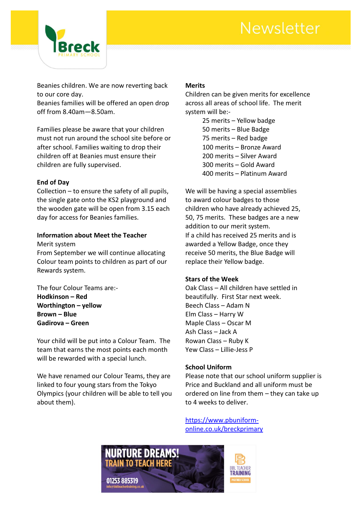## Newsletter



Beanies children. We are now reverting back to our core day.

Beanies families will be offered an open drop off from 8.40am—8.50am.

Families please be aware that your children must not run around the school site before or after school. Families waiting to drop their children off at Beanies must ensure their children are fully supervised.

#### **End of Day**

Collection – to ensure the safety of all pupils, the single gate onto the KS2 playground and the wooden gate will be open from 3.15 each day for access for Beanies families.

#### **Information about Meet the Teacher**

Merit system

From September we will continue allocating Colour team points to children as part of our Rewards system.

The four Colour Teams are:- **Hodkinson – Red Worthington – yellow Brown – Blue Gadirova – Green**

Your child will be put into a Colour Team. The team that earns the most points each month will be rewarded with a special lunch.

We have renamed our Colour Teams, they are linked to four young stars from the Tokyo Olympics (your children will be able to tell you about them).

## **Merits**

Children can be given merits for excellence across all areas of school life. The merit system will be:-

> 25 merits – Yellow badge 50 merits – Blue Badge 75 merits – Red badge 100 merits – Bronze Award 200 merits – Silver Award 300 merits – Gold Award 400 merits – Platinum Award

We will be having a special assemblies to award colour badges to those children who have already achieved 25, 50, 75 merits. These badges are a new addition to our merit system. If a child has received 25 merits and is awarded a Yellow Badge, once they receive 50 merits, the Blue Badge will replace their Yellow badge.

#### **Stars of the Week**

Oak Class – All children have settled in beautifully. First Star next week. Beech Class – Adam N Elm Class – Harry W Maple Class – Oscar M Ash Class – Jack A Rowan Class – Ruby K Yew Class – Lillie-Jess P

## **School Uniform**

Please note that our school uniform supplier is Price and Buckland and all uniform must be ordered on line from them – they can take up to 4 weeks to deliver.

[https://www.pbuniform](https://www.pbuniform-online.co.uk/breckprimary)[online.co.uk/breckprimary](https://www.pbuniform-online.co.uk/breckprimary)